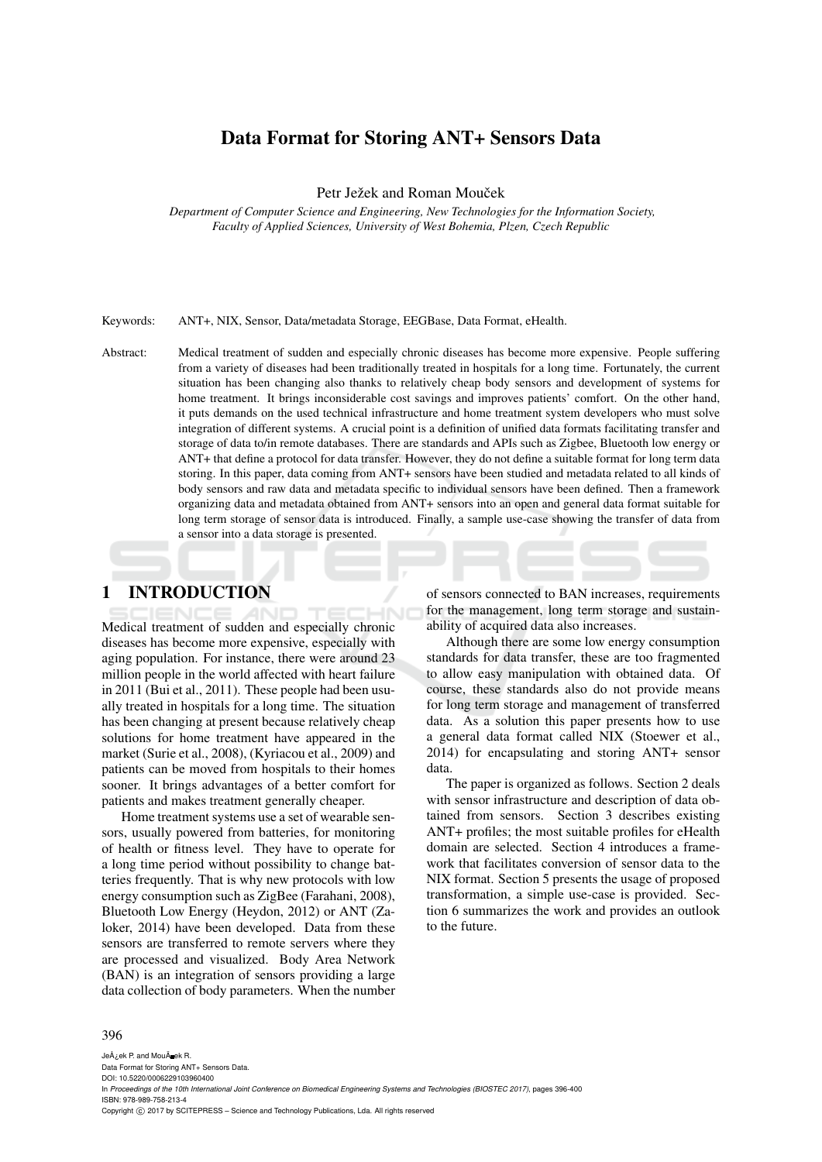# Data Format for Storing ANT+ Sensors Data

Petr Ježek and Roman Mouček

*Department of Computer Science and Engineering, New Technologies for the Information Society, Faculty of Applied Sciences, University of West Bohemia, Plzen, Czech Republic*

Keywords: ANT+, NIX, Sensor, Data/metadata Storage, EEGBase, Data Format, eHealth.

Abstract: Medical treatment of sudden and especially chronic diseases has become more expensive. People suffering from a variety of diseases had been traditionally treated in hospitals for a long time. Fortunately, the current situation has been changing also thanks to relatively cheap body sensors and development of systems for home treatment. It brings inconsiderable cost savings and improves patients' comfort. On the other hand, it puts demands on the used technical infrastructure and home treatment system developers who must solve integration of different systems. A crucial point is a definition of unified data formats facilitating transfer and storage of data to/in remote databases. There are standards and APIs such as Zigbee, Bluetooth low energy or ANT+ that define a protocol for data transfer. However, they do not define a suitable format for long term data storing. In this paper, data coming from ANT+ sensors have been studied and metadata related to all kinds of body sensors and raw data and metadata specific to individual sensors have been defined. Then a framework organizing data and metadata obtained from ANT+ sensors into an open and general data format suitable for long term storage of sensor data is introduced. Finally, a sample use-case showing the transfer of data from a sensor into a data storage is presented.

## 1 INTRODUCTION

Medical treatment of sudden and especially chronic diseases has become more expensive, especially with aging population. For instance, there were around 23 million people in the world affected with heart failure in 2011 (Bui et al., 2011). These people had been usually treated in hospitals for a long time. The situation has been changing at present because relatively cheap solutions for home treatment have appeared in the market (Surie et al., 2008), (Kyriacou et al., 2009) and patients can be moved from hospitals to their homes sooner. It brings advantages of a better comfort for patients and makes treatment generally cheaper.

Home treatment systems use a set of wearable sensors, usually powered from batteries, for monitoring of health or fitness level. They have to operate for a long time period without possibility to change batteries frequently. That is why new protocols with low energy consumption such as ZigBee (Farahani, 2008), Bluetooth Low Energy (Heydon, 2012) or ANT (Zaloker, 2014) have been developed. Data from these sensors are transferred to remote servers where they are processed and visualized. Body Area Network (BAN) is an integration of sensors providing a large data collection of body parameters. When the number of sensors connected to BAN increases, requirements for the management, long term storage and sustainability of acquired data also increases.

Although there are some low energy consumption standards for data transfer, these are too fragmented to allow easy manipulation with obtained data. Of course, these standards also do not provide means for long term storage and management of transferred data. As a solution this paper presents how to use a general data format called NIX (Stoewer et al., 2014) for encapsulating and storing ANT+ sensor data.

The paper is organized as follows. Section 2 deals with sensor infrastructure and description of data obtained from sensors. Section 3 describes existing ANT+ profiles; the most suitable profiles for eHealth domain are selected. Section 4 introduces a framework that facilitates conversion of sensor data to the NIX format. Section 5 presents the usage of proposed transformation, a simple use-case is provided. Section 6 summarizes the work and provides an outlook to the future.

#### 396

JeÅ¿ek P. and MouÄ ek R. Data Format for Storing ANT+ Sensors Data. DOI: 10.5220/0006229103960400 In *Proceedings of the 10th International Joint Conference on Biomedical Engineering Systems and Technologies (BIOSTEC 2017)*, pages 396-400 ISBN: 978-989-758-213-4 Copyright © 2017 by SCITEPRESS - Science and Technology Publications, Lda. All rights reserved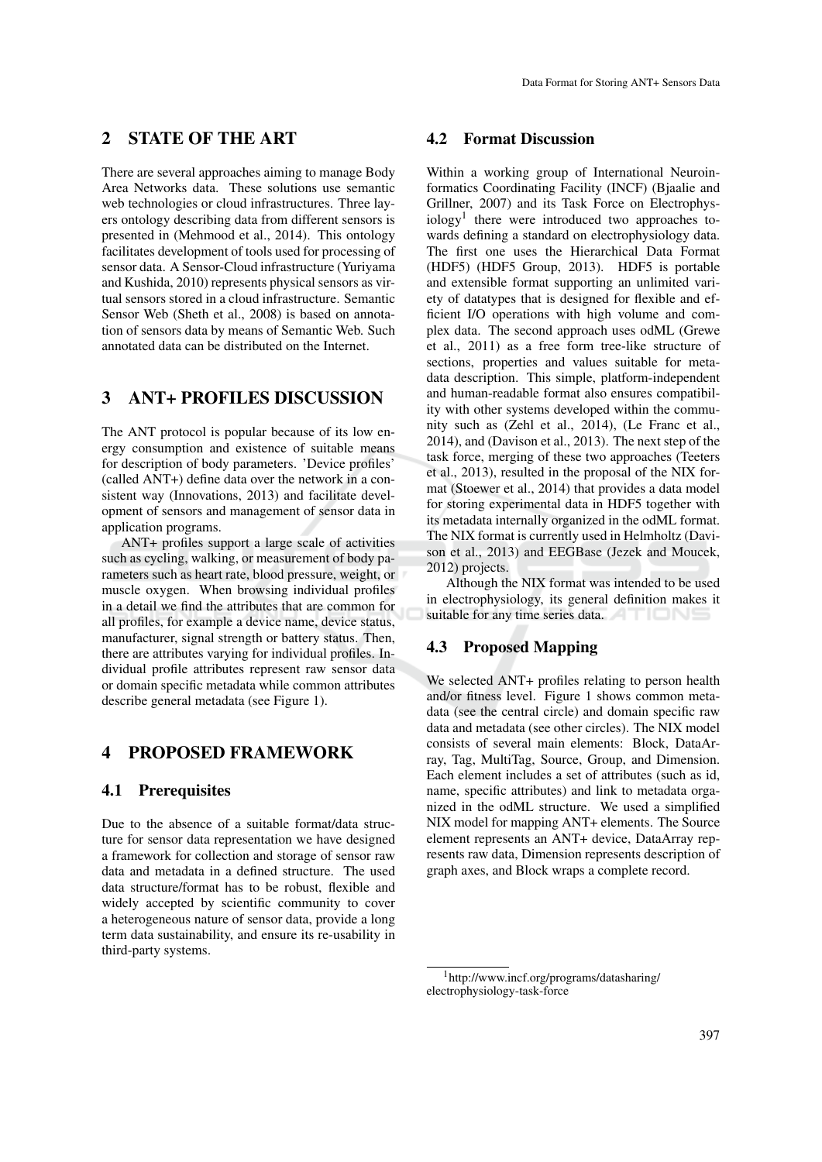# 2 STATE OF THE ART

There are several approaches aiming to manage Body Area Networks data. These solutions use semantic web technologies or cloud infrastructures. Three layers ontology describing data from different sensors is presented in (Mehmood et al., 2014). This ontology facilitates development of tools used for processing of sensor data. A Sensor-Cloud infrastructure (Yuriyama and Kushida, 2010) represents physical sensors as virtual sensors stored in a cloud infrastructure. Semantic Sensor Web (Sheth et al., 2008) is based on annotation of sensors data by means of Semantic Web. Such annotated data can be distributed on the Internet.

### 3 ANT+ PROFILES DISCUSSION

The ANT protocol is popular because of its low energy consumption and existence of suitable means for description of body parameters. 'Device profiles' (called ANT+) define data over the network in a consistent way (Innovations, 2013) and facilitate development of sensors and management of sensor data in application programs.

ANT+ profiles support a large scale of activities such as cycling, walking, or measurement of body parameters such as heart rate, blood pressure, weight, or muscle oxygen. When browsing individual profiles in a detail we find the attributes that are common for all profiles, for example a device name, device status, manufacturer, signal strength or battery status. Then, there are attributes varying for individual profiles. Individual profile attributes represent raw sensor data or domain specific metadata while common attributes describe general metadata (see Figure 1).

### 4 PROPOSED FRAMEWORK

### 4.1 Prerequisites

Due to the absence of a suitable format/data structure for sensor data representation we have designed a framework for collection and storage of sensor raw data and metadata in a defined structure. The used data structure/format has to be robust, flexible and widely accepted by scientific community to cover a heterogeneous nature of sensor data, provide a long term data sustainability, and ensure its re-usability in third-party systems.

### 4.2 Format Discussion

Within a working group of International Neuroinformatics Coordinating Facility (INCF) (Bjaalie and Grillner, 2007) and its Task Force on Electrophysiology<sup>1</sup> there were introduced two approaches towards defining a standard on electrophysiology data. The first one uses the Hierarchical Data Format (HDF5) (HDF5 Group, 2013). HDF5 is portable and extensible format supporting an unlimited variety of datatypes that is designed for flexible and efficient I/O operations with high volume and complex data. The second approach uses odML (Grewe et al., 2011) as a free form tree-like structure of sections, properties and values suitable for metadata description. This simple, platform-independent and human-readable format also ensures compatibility with other systems developed within the community such as (Zehl et al., 2014), (Le Franc et al., 2014), and (Davison et al., 2013). The next step of the task force, merging of these two approaches (Teeters et al., 2013), resulted in the proposal of the NIX format (Stoewer et al., 2014) that provides a data model for storing experimental data in HDF5 together with its metadata internally organized in the odML format. The NIX format is currently used in Helmholtz (Davison et al., 2013) and EEGBase (Jezek and Moucek, 2012) projects.

Although the NIX format was intended to be used in electrophysiology, its general definition makes it suitable for any time series data.

## 4.3 Proposed Mapping

We selected ANT+ profiles relating to person health and/or fitness level. Figure 1 shows common metadata (see the central circle) and domain specific raw data and metadata (see other circles). The NIX model consists of several main elements: Block, DataArray, Tag, MultiTag, Source, Group, and Dimension. Each element includes a set of attributes (such as id, name, specific attributes) and link to metadata organized in the odML structure. We used a simplified NIX model for mapping ANT+ elements. The Source element represents an ANT+ device, DataArray represents raw data, Dimension represents description of graph axes, and Block wraps a complete record.

<sup>1</sup>http://www.incf.org/programs/datasharing/ electrophysiology-task-force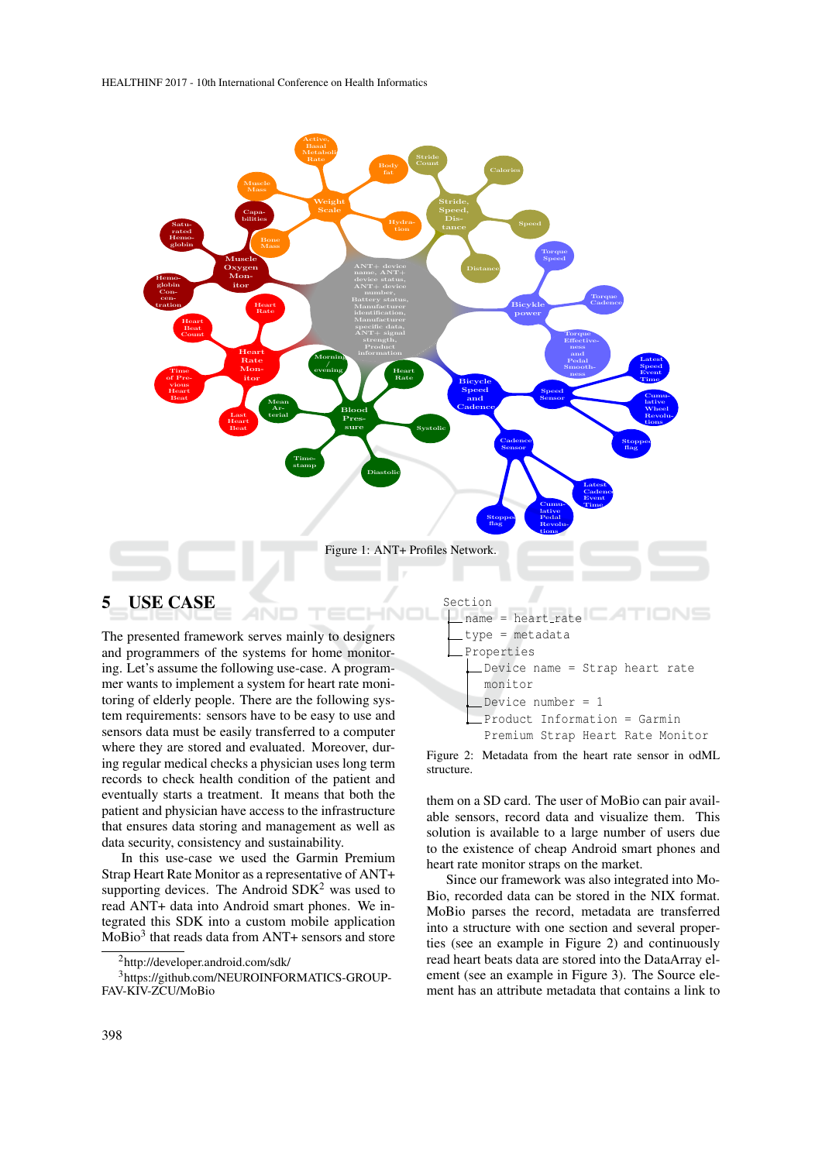

The presented framework serves mainly to designers and programmers of the systems for home monitoring. Let's assume the following use-case. A programmer wants to implement a system for heart rate monitoring of elderly people. There are the following system requirements: sensors have to be easy to use and sensors data must be easily transferred to a computer where they are stored and evaluated. Moreover, during regular medical checks a physician uses long term records to check health condition of the patient and eventually starts a treatment. It means that both the patient and physician have access to the infrastructure that ensures data storing and management as well as data security, consistency and sustainability.

In this use-case we used the Garmin Premium Strap Heart Rate Monitor as a representative of ANT+ supporting devices. The Android  $SDK<sup>2</sup>$  was used to read ANT+ data into Android smart phones. We integrated this SDK into a custom mobile application MoBio<sup>3</sup> that reads data from ANT+ sensors and store



Figure 2: Metadata from the heart rate sensor in odML structure.

them on a SD card. The user of MoBio can pair available sensors, record data and visualize them. This solution is available to a large number of users due to the existence of cheap Android smart phones and heart rate monitor straps on the market.

Since our framework was also integrated into Mo-Bio, recorded data can be stored in the NIX format. MoBio parses the record, metadata are transferred into a structure with one section and several properties (see an example in Figure 2) and continuously read heart beats data are stored into the DataArray element (see an example in Figure 3). The Source element has an attribute metadata that contains a link to

<sup>2</sup>http://developer.android.com/sdk/

<sup>3</sup>https://github.com/NEUROINFORMATICS-GROUP-FAV-KIV-ZCU/MoBio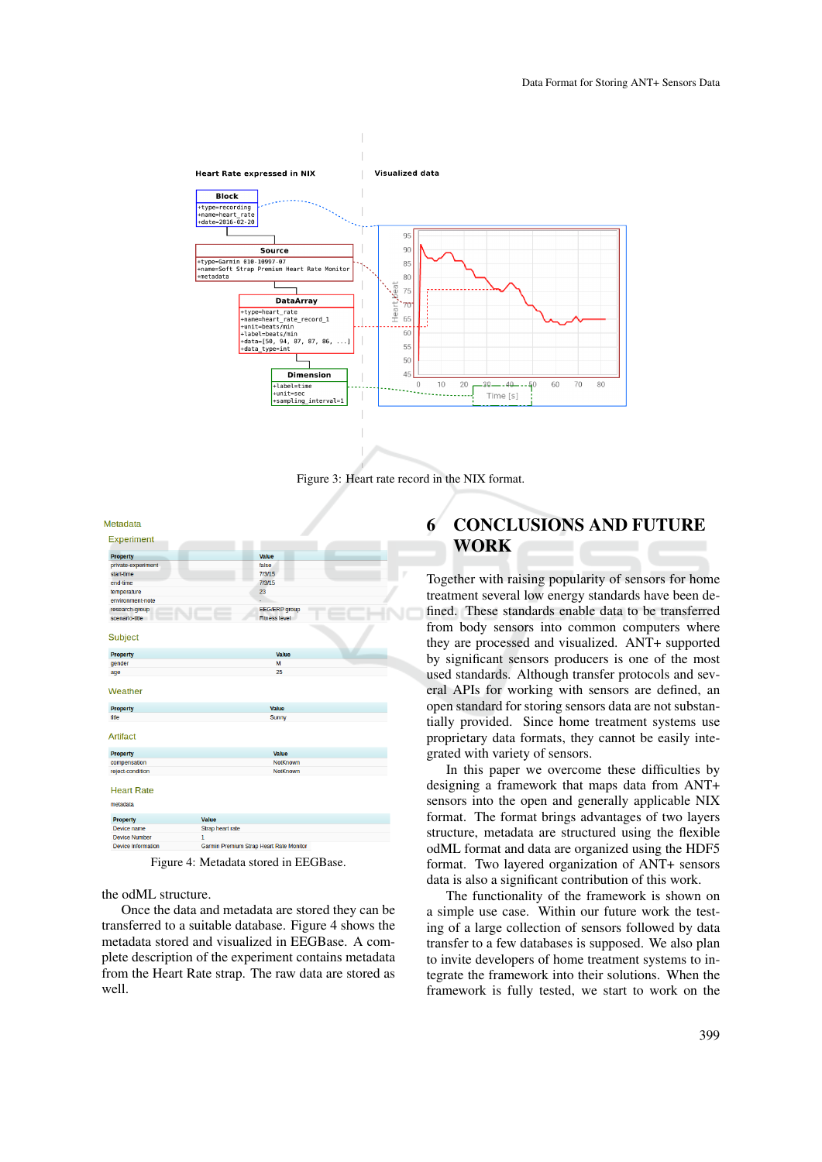

Figure 3: Heart rate record in the NIX format.

| Metadata                         |                                              |
|----------------------------------|----------------------------------------------|
| Experiment                       |                                              |
| <b>Property</b>                  | Value                                        |
| private-experiment               | false                                        |
| start-time                       | 7/3/15                                       |
| end-time                         | 7/3/15                                       |
| temperature                      | 23                                           |
| environment-note                 |                                              |
| research-group<br>scenario-title | <b>EEG/ERP</b> group<br><b>Fitness level</b> |
| Subject                          |                                              |
| <b>Property</b>                  | <b>Value</b>                                 |
| gender                           | M                                            |
| age                              | 25                                           |
| Weather                          |                                              |
| <b>Property</b>                  | <b>Value</b>                                 |
| title                            | <b>Sunny</b>                                 |
| <b>Artifact</b>                  |                                              |
| <b>Property</b>                  | <b>Value</b>                                 |
| compensation                     | <b>NotKnown</b>                              |
| reject-condition                 | NotKnown                                     |
| <b>Heart Rate</b><br>metadata    |                                              |
| <b>Property</b>                  | Value                                        |
| Device name                      | Strap heart rate                             |
| <b>Device Number</b>             | $\mathbf{1}$                                 |
| <b>Device Information</b>        | Garmin Premium Strap Heart Rate Monitor      |

Figure 4: Metadata stored in EEGBase.

the odML structure.

Once the data and metadata are stored they can be transferred to a suitable database. Figure 4 shows the metadata stored and visualized in EEGBase. A complete description of the experiment contains metadata from the Heart Rate strap. The raw data are stored as well.

# 6 CONCLUSIONS AND FUTURE WORK

Together with raising popularity of sensors for home treatment several low energy standards have been defined. These standards enable data to be transferred from body sensors into common computers where they are processed and visualized. ANT+ supported by significant sensors producers is one of the most used standards. Although transfer protocols and several APIs for working with sensors are defined, an open standard for storing sensors data are not substantially provided. Since home treatment systems use proprietary data formats, they cannot be easily integrated with variety of sensors.

In this paper we overcome these difficulties by designing a framework that maps data from ANT+ sensors into the open and generally applicable NIX format. The format brings advantages of two layers structure, metadata are structured using the flexible odML format and data are organized using the HDF5 format. Two layered organization of ANT+ sensors data is also a significant contribution of this work.

The functionality of the framework is shown on a simple use case. Within our future work the testing of a large collection of sensors followed by data transfer to a few databases is supposed. We also plan to invite developers of home treatment systems to integrate the framework into their solutions. When the framework is fully tested, we start to work on the